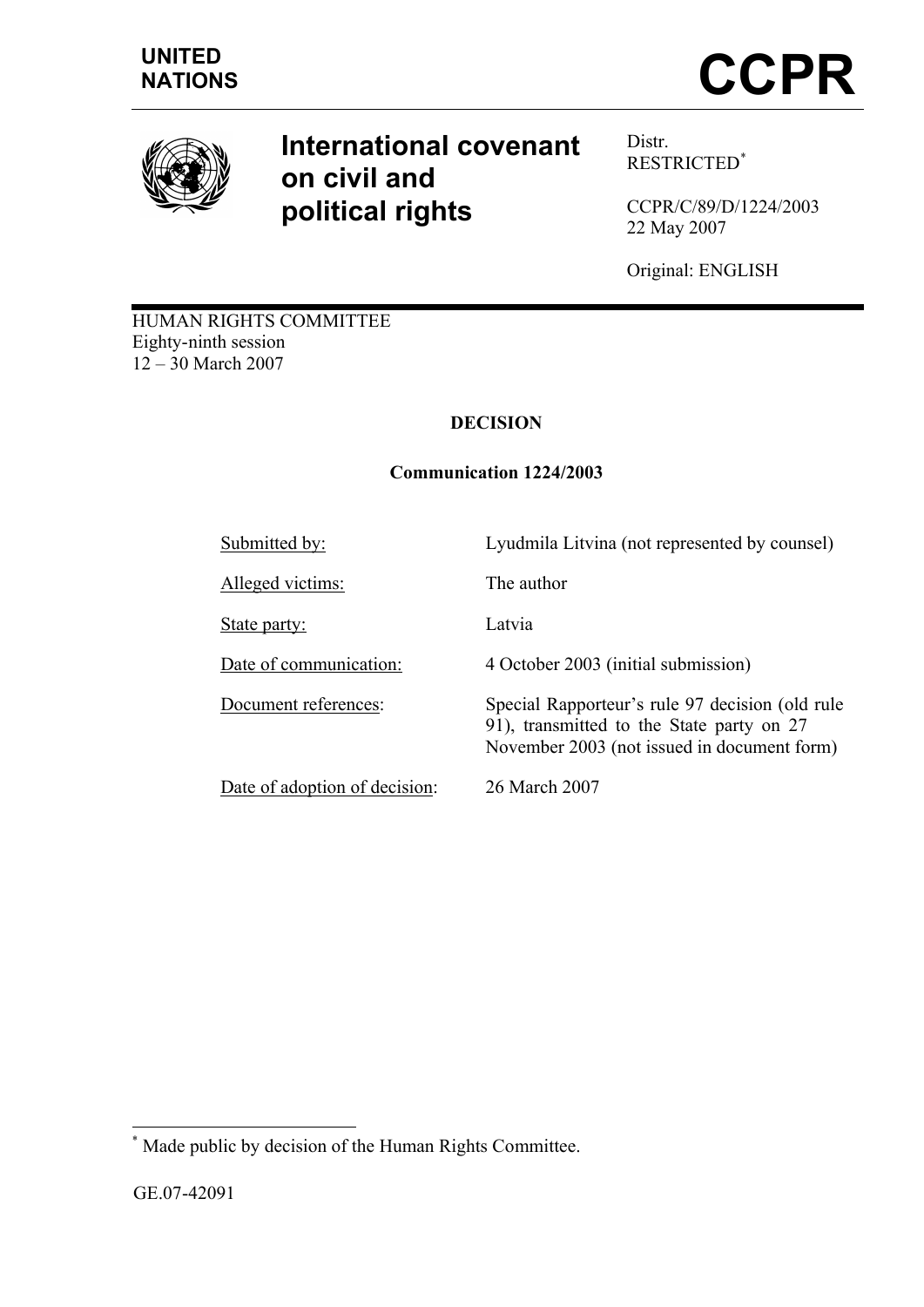

# **International covenant on civil and political rights**

Distr. RESTRICTED\*

CCPR/C/89/D/1224/2003 22 May 2007

Original: ENGLISH

HUMAN RIGHTS COMMITTEE Eighty-ninth session 12 – 30 March 2007

# **DECISION**

# **Communication 1224/2003**

Submitted by:<br>
Lyudmila Litvina (not represented by counsel)

Alleged victims: The author

State party: Latvia

Date of adoption of decision: 26 March 2007

Date of communication: 4 October 2003 (initial submission)

Document references: Special Rapporteur's rule 97 decision (old rule 91), transmitted to the State party on 27 November 2003 (not issued in document form)

 $\overline{a}$ Made public by decision of the Human Rights Committee.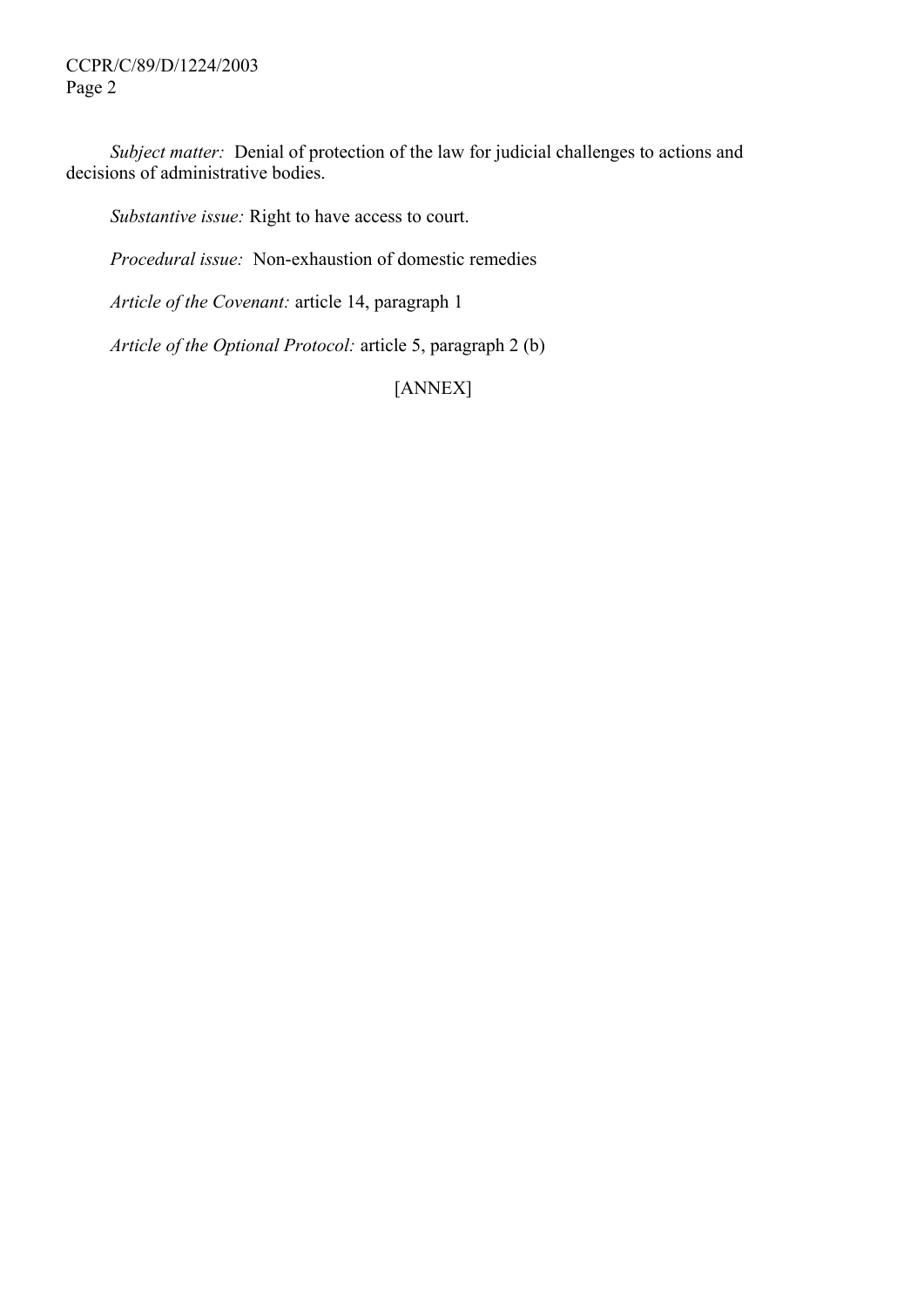CCPR/C/89/D/1224/2003 Page 2

*Subject matter:* Denial of protection of the law for judicial challenges to actions and decisions of administrative bodies.

*Substantive issue:* Right to have access to court.

*Procedural issue:* Non-exhaustion of domestic remedies

*Article of the Covenant:* article 14, paragraph 1

*Article of the Optional Protocol:* article 5, paragraph 2 (b)

[ANNEX]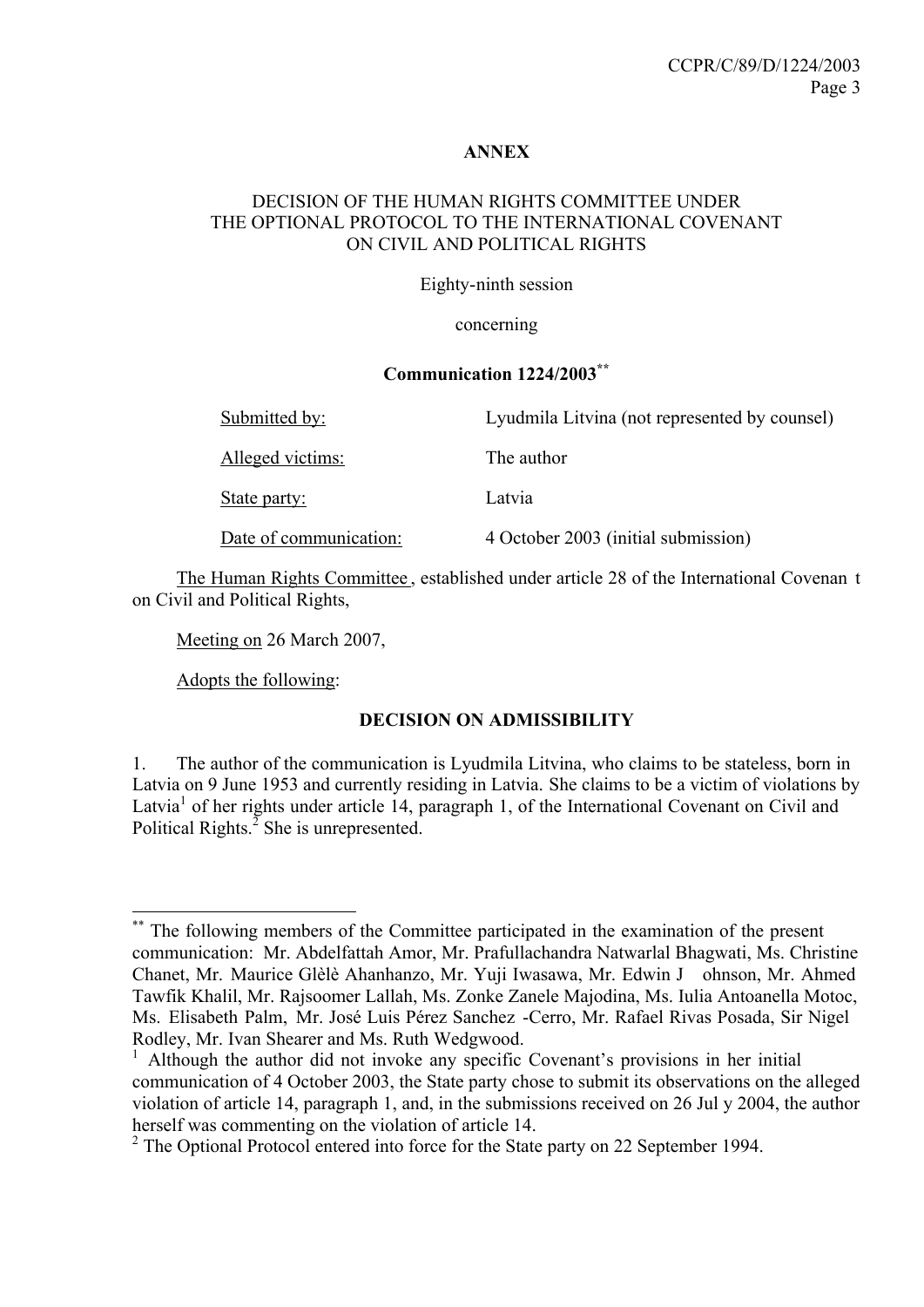#### **ANNEX**

#### DECISION OF THE HUMAN RIGHTS COMMITTEE UNDER THE OPTIONAL PROTOCOL TO THE INTERNATIONAL COVENANT ON CIVIL AND POLITICAL RIGHTS

Eighty-ninth session

concerning

#### **Communication 1224/2003\*\***

| Submitted by:          | Lyudmila Litvina (not represented by counsel) |
|------------------------|-----------------------------------------------|
| Alleged victims:       | The author                                    |
| State party:           | Latvia                                        |
| Date of communication: | 4 October 2003 (initial submission)           |

The Human Rights Committee , established under article 28 of the International Covenan t on Civil and Political Rights,

Meeting on 26 March 2007,

Adopts the following:

 $\overline{a}$ 

## **DECISION ON ADMISSIBILITY**

1. The author of the communication is Lyudmila Litvina, who claims to be stateless, born in Latvia on 9 June 1953 and currently residing in Latvia. She claims to be a victim of violations by Latvia<sup>1</sup> of her rights under article 14, paragraph 1, of the International Covenant on Civil and Political Rights. $^2$  She is unrepresented.

The following members of the Committee participated in the examination of the present communication: Mr. Abdelfattah Amor, Mr. Prafullachandra Natwarlal Bhagwati, Ms. Christine Chanet, Mr. Maurice Glèlè Ahanhanzo, Mr. Yuji Iwasawa, Mr. Edwin J ohnson, Mr. Ahmed Tawfik Khalil, Mr. Rajsoomer Lallah, Ms. Zonke Zanele Majodina, Ms. Iulia Antoanella Motoc, Ms. Elisabeth Palm, Mr. José Luis Pérez Sanchez -Cerro, Mr. Rafael Rivas Posada, Sir Nigel Rodley, Mr. Ivan Shearer and Ms. Ruth Wedgwood.

<sup>1</sup> Although the author did not invoke any specific Covenant's provisions in her initial communication of 4 October 2003, the State party chose to submit its observations on the alleged violation of article 14, paragraph 1, and, in the submissions received on 26 Jul y 2004, the author herself was commenting on the violation of article 14.

 $2^2$  The Optional Protocol entered into force for the State party on 22 September 1994.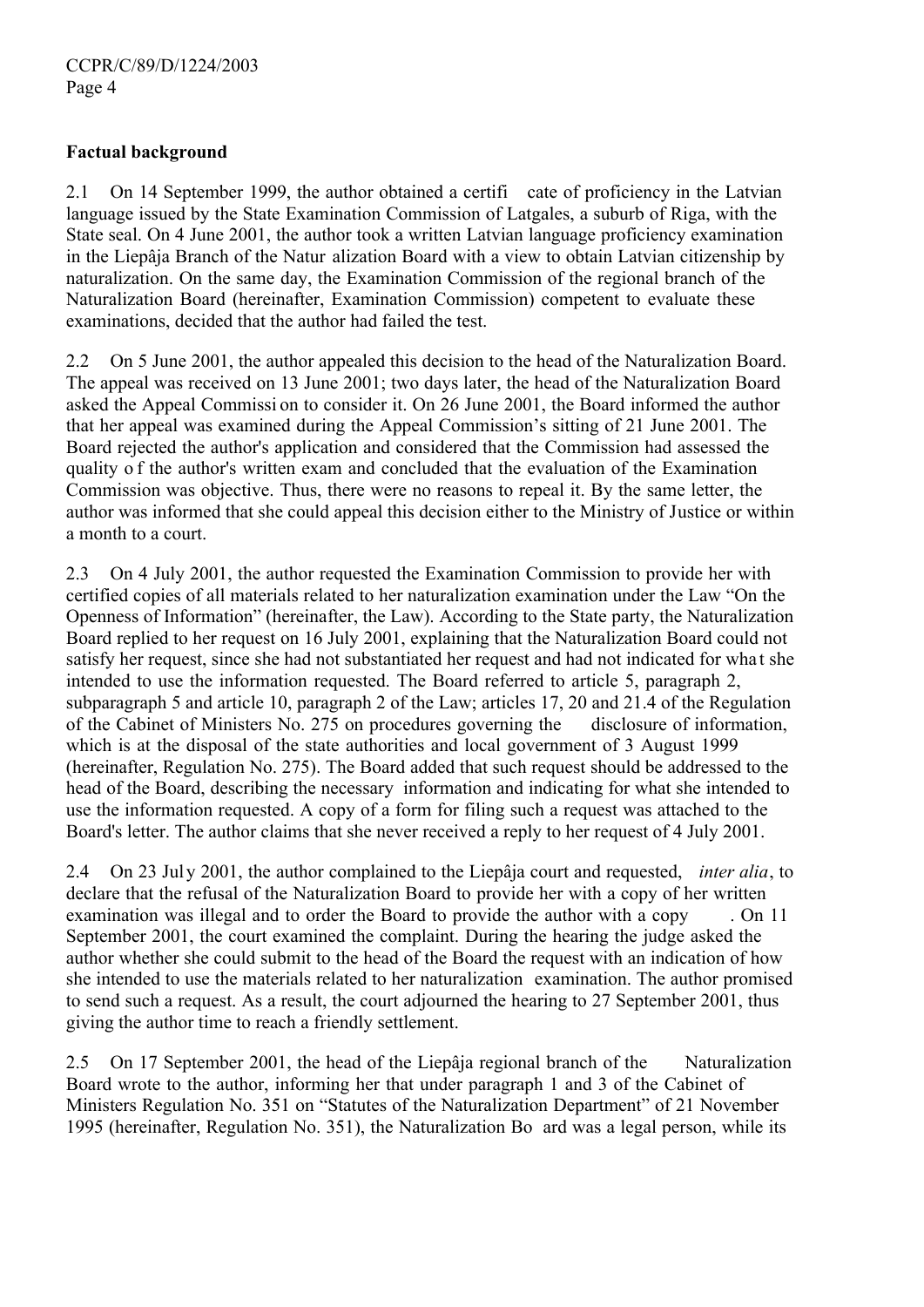## **Factual background**

2.1 On 14 September 1999, the author obtained a certifi cate of proficiency in the Latvian language issued by the State Examination Commission of Latgales, a suburb of Riga, with the State seal. On 4 June 2001, the author took a written Latvian language proficiency examination in the Liepâja Branch of the Natur alization Board with a view to obtain Latvian citizenship by naturalization. On the same day, the Examination Commission of the regional branch of the Naturalization Board (hereinafter, Examination Commission) competent to evaluate these examinations, decided that the author had failed the test.

2.2 On 5 June 2001, the author appealed this decision to the head of the Naturalization Board. The appeal was received on 13 June 2001; two days later, the head of the Naturalization Board asked the Appeal Commissi on to consider it. On 26 June 2001, the Board informed the author that her appeal was examined during the Appeal Commission's sitting of 21 June 2001. The Board rejected the author's application and considered that the Commission had assessed the quality o f the author's written exam and concluded that the evaluation of the Examination Commission was objective. Thus, there were no reasons to repeal it. By the same letter, the author was informed that she could appeal this decision either to the Ministry of Justice or within a month to a court.

2.3 On 4 July 2001, the author requested the Examination Commission to provide her with certified copies of all materials related to her naturalization examination under the Law "On the Openness of Information" (hereinafter, the Law). According to the State party, the Naturalization Board replied to her request on 16 July 2001, explaining that the Naturalization Board could not satisfy her request, since she had not substantiated her request and had not indicated for what she intended to use the information requested. The Board referred to article 5, paragraph 2, subparagraph 5 and article 10, paragraph 2 of the Law; articles 17, 20 and 21.4 of the Regulation of the Cabinet of Ministers No. 275 on procedures governing the disclosure of information, which is at the disposal of the state authorities and local government of 3 August 1999 (hereinafter, Regulation No. 275). The Board added that such request should be addressed to the head of the Board, describing the necessary information and indicating for what she intended to use the information requested. A copy of a form for filing such a request was attached to the Board's letter. The author claims that she never received a reply to her request of 4 July 2001.

2.4 On 23 July 2001, the author complained to the Liepâja court and requested, *inter alia*, to declare that the refusal of the Naturalization Board to provide her with a copy of her written examination was illegal and to order the Board to provide the author with a copy . On 11 September 2001, the court examined the complaint. During the hearing the judge asked the author whether she could submit to the head of the Board the request with an indication of how she intended to use the materials related to her naturalization examination. The author promised to send such a request. As a result, the court adjourned the hearing to 27 September 2001, thus giving the author time to reach a friendly settlement.

2.5 On 17 September 2001, the head of the Liepâja regional branch of the Naturalization Board wrote to the author, informing her that under paragraph 1 and 3 of the Cabinet of Ministers Regulation No. 351 on "Statutes of the Naturalization Department" of 21 November 1995 (hereinafter, Regulation No. 351), the Naturalization Bo ard was a legal person, while its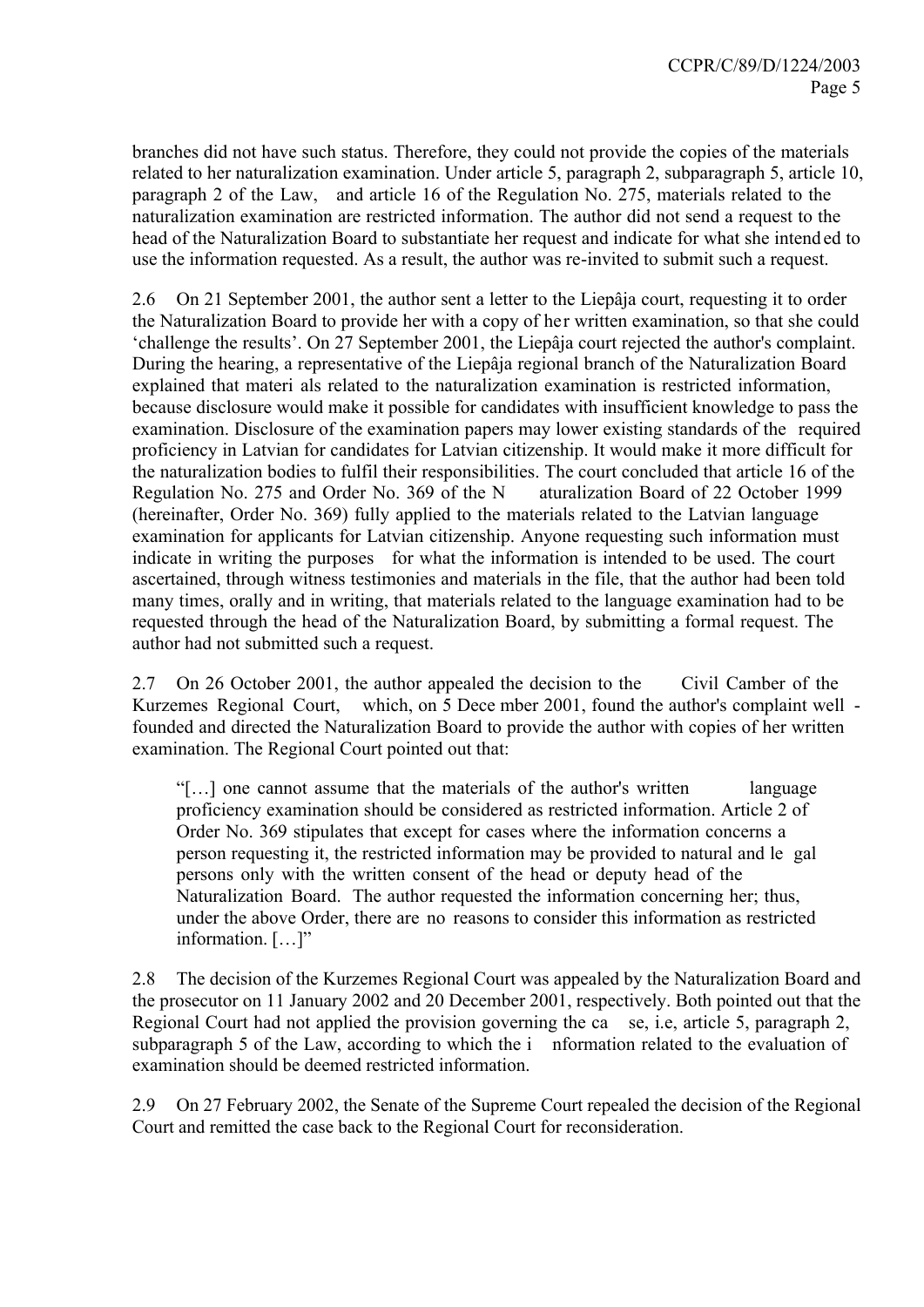branches did not have such status. Therefore, they could not provide the copies of the materials related to her naturalization examination. Under article 5, paragraph 2, subparagraph 5, article 10, paragraph 2 of the Law, and article 16 of the Regulation No. 275, materials related to the naturalization examination are restricted information. The author did not send a request to the head of the Naturalization Board to substantiate her request and indicate for what she intend ed to use the information requested. As a result, the author was re-invited to submit such a request.

2.6 On 21 September 2001, the author sent a letter to the Liepâja court, requesting it to order the Naturalization Board to provide her with a copy of her written examination, so that she could 'challenge the results'. On 27 September 2001, the Liepâja court rejected the author's complaint. During the hearing, a representative of the Liepâja regional branch of the Naturalization Board explained that materi als related to the naturalization examination is restricted information, because disclosure would make it possible for candidates with insufficient knowledge to pass the examination. Disclosure of the examination papers may lower existing standards of the required proficiency in Latvian for candidates for Latvian citizenship. It would make it more difficult for the naturalization bodies to fulfil their responsibilities. The court concluded that article 16 of the Regulation No. 275 and Order No. 369 of the N aturalization Board of 22 October 1999 (hereinafter, Order No. 369) fully applied to the materials related to the Latvian language examination for applicants for Latvian citizenship. Anyone requesting such information must indicate in writing the purposes for what the information is intended to be used. The court ascertained, through witness testimonies and materials in the file, that the author had been told many times, orally and in writing, that materials related to the language examination had to be requested through the head of the Naturalization Board, by submitting a formal request. The author had not submitted such a request.

2.7 On 26 October 2001, the author appealed the decision to the Civil Camber of the Kurzemes Regional Court, which, on 5 Dece mber 2001, found the author's complaint well founded and directed the Naturalization Board to provide the author with copies of her written examination. The Regional Court pointed out that:

"[…] one cannot assume that the materials of the author's written language proficiency examination should be considered as restricted information. Article 2 of Order No. 369 stipulates that except for cases where the information concerns a person requesting it, the restricted information may be provided to natural and le gal persons only with the written consent of the head or deputy head of the Naturalization Board. The author requested the information concerning her; thus, under the above Order, there are no reasons to consider this information as restricted information. […]"

2.8 The decision of the Kurzemes Regional Court was appealed by the Naturalization Board and the prosecutor on 11 January 2002 and 20 December 2001, respectively. Both pointed out that the Regional Court had not applied the provision governing the ca se, i.e, article 5, paragraph 2, subparagraph 5 of the Law, according to which the i nformation related to the evaluation of examination should be deemed restricted information.

2.9 On 27 February 2002, the Senate of the Supreme Court repealed the decision of the Regional Court and remitted the case back to the Regional Court for reconsideration.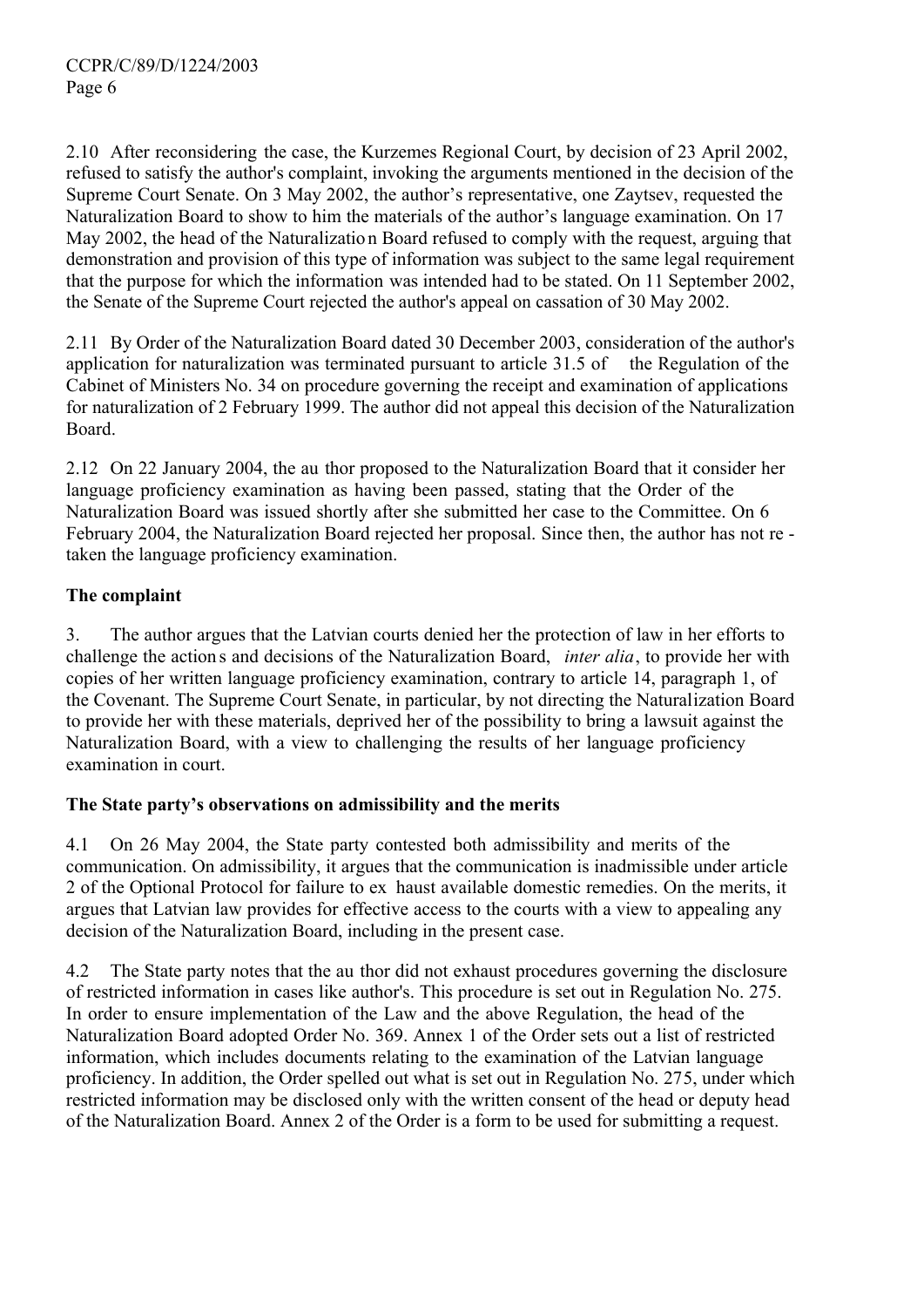2.10 After reconsidering the case, the Kurzemes Regional Court, by decision of 23 April 2002, refused to satisfy the author's complaint, invoking the arguments mentioned in the decision of the Supreme Court Senate. On 3 May 2002, the author's representative, one Zaytsev, requested the Naturalization Board to show to him the materials of the author's language examination. On 17 May 2002, the head of the Naturalizatio n Board refused to comply with the request, arguing that demonstration and provision of this type of information was subject to the same legal requirement that the purpose for which the information was intended had to be stated. On 11 September 2002, the Senate of the Supreme Court rejected the author's appeal on cassation of 30 May 2002.

2.11 By Order of the Naturalization Board dated 30 December 2003, consideration of the author's application for naturalization was terminated pursuant to article 31.5 of the Regulation of the Cabinet of Ministers No. 34 on procedure governing the receipt and examination of applications for naturalization of 2 February 1999. The author did not appeal this decision of the Naturalization Board.

2.12 On 22 January 2004, the au thor proposed to the Naturalization Board that it consider her language proficiency examination as having been passed, stating that the Order of the Naturalization Board was issued shortly after she submitted her case to the Committee. On 6 February 2004, the Naturalization Board rejected her proposal. Since then, the author has not re taken the language proficiency examination.

## **The complaint**

3. The author argues that the Latvian courts denied her the protection of law in her efforts to challenge the action s and decisions of the Naturalization Board, *inter alia*, to provide her with copies of her written language proficiency examination, contrary to article 14, paragraph 1, of the Covenant. The Supreme Court Senate, in particular, by not directing the Naturalization Board to provide her with these materials, deprived her of the possibility to bring a lawsuit against the Naturalization Board, with a view to challenging the results of her language proficiency examination in court.

## **The State party's observations on admissibility and the merits**

4.1 On 26 May 2004, the State party contested both admissibility and merits of the communication. On admissibility, it argues that the communication is inadmissible under article 2 of the Optional Protocol for failure to ex haust available domestic remedies. On the merits, it argues that Latvian law provides for effective access to the courts with a view to appealing any decision of the Naturalization Board, including in the present case.

4.2 The State party notes that the au thor did not exhaust procedures governing the disclosure of restricted information in cases like author's. This procedure is set out in Regulation No. 275. In order to ensure implementation of the Law and the above Regulation, the head of the Naturalization Board adopted Order No. 369. Annex 1 of the Order sets out a list of restricted information, which includes documents relating to the examination of the Latvian language proficiency. In addition, the Order spelled out what is set out in Regulation No. 275, under which restricted information may be disclosed only with the written consent of the head or deputy head of the Naturalization Board. Annex 2 of the Order is a form to be used for submitting a request.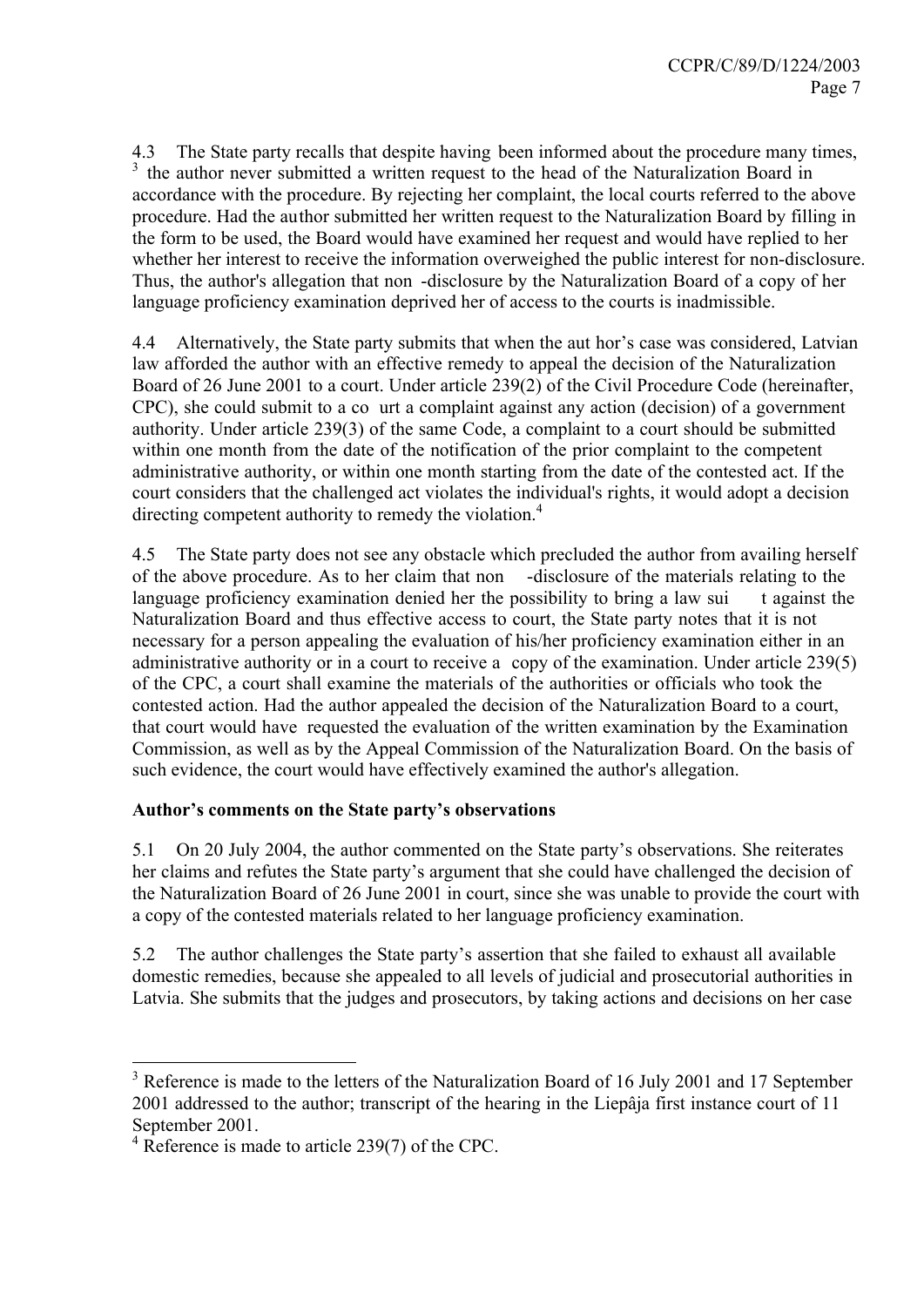4.3 The State party recalls that despite having been informed about the procedure many times, <sup>3</sup> the author never submitted a written request to the head of the Naturalization Board in accordance with the procedure. By rejecting her complaint, the local courts referred to the above procedure. Had the author submitted her written request to the Naturalization Board by filling in the form to be used, the Board would have examined her request and would have replied to her whether her interest to receive the information overweighed the public interest for non-disclosure. Thus, the author's allegation that non -disclosure by the Naturalization Board of a copy of her language proficiency examination deprived her of access to the courts is inadmissible.

4.4 Alternatively, the State party submits that when the aut hor's case was considered, Latvian law afforded the author with an effective remedy to appeal the decision of the Naturalization Board of 26 June 2001 to a court. Under article 239(2) of the Civil Procedure Code (hereinafter, CPC), she could submit to a co urt a complaint against any action (decision) of a government authority. Under article 239(3) of the same Code, a complaint to a court should be submitted within one month from the date of the notification of the prior complaint to the competent administrative authority, or within one month starting from the date of the contested act. If the court considers that the challenged act violates the individual's rights, it would adopt a decision directing competent authority to remedy the violation.<sup>4</sup>

4.5 The State party does not see any obstacle which precluded the author from availing herself of the above procedure. As to her claim that non -disclosure of the materials relating to the language proficiency examination denied her the possibility to bring a law sui t against the Naturalization Board and thus effective access to court, the State party notes that it is not necessary for a person appealing the evaluation of his/her proficiency examination either in an administrative authority or in a court to receive a copy of the examination. Under article 239(5) of the CPC, a court shall examine the materials of the authorities or officials who took the contested action. Had the author appealed the decision of the Naturalization Board to a court, that court would have requested the evaluation of the written examination by the Examination Commission, as well as by the Appeal Commission of the Naturalization Board. On the basis of such evidence, the court would have effectively examined the author's allegation.

## **Author's comments on the State party's observations**

5.1 On 20 July 2004, the author commented on the State party's observations. She reiterates her claims and refutes the State party's argument that she could have challenged the decision of the Naturalization Board of 26 June 2001 in court, since she was unable to provide the court with a copy of the contested materials related to her language proficiency examination.

5.2 The author challenges the State party's assertion that she failed to exhaust all available domestic remedies, because she appealed to all levels of judicial and prosecutorial authorities in Latvia. She submits that the judges and prosecutors, by taking actions and decisions on her case

 $\overline{a}$ 

<sup>&</sup>lt;sup>3</sup> Reference is made to the letters of the Naturalization Board of 16 July 2001 and 17 September 2001 addressed to the author; transcript of the hearing in the Liepâja first instance court of 11 September 2001.

 $4$  Reference is made to article 239(7) of the CPC.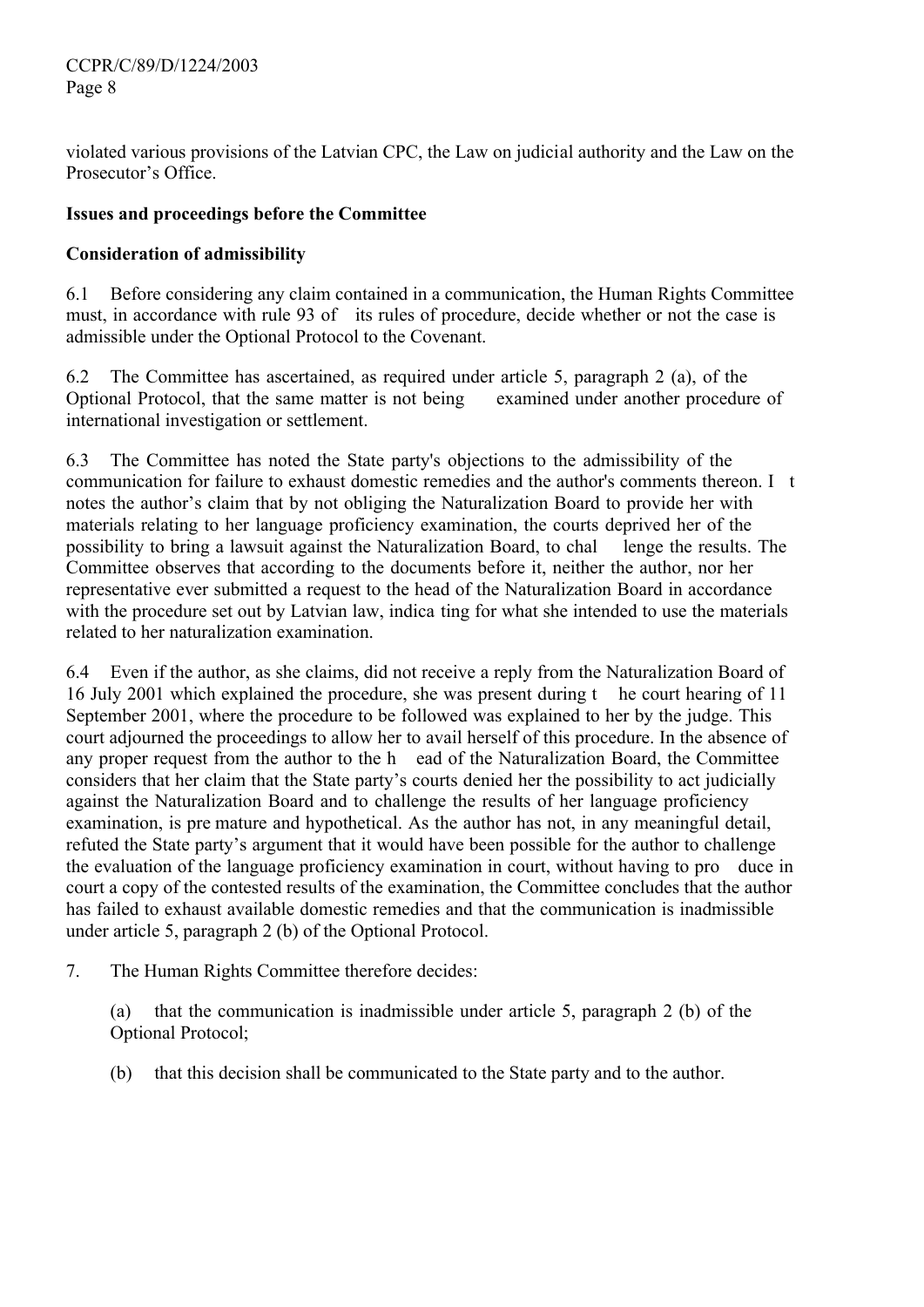violated various provisions of the Latvian CPC, the Law on judicial authority and the Law on the Prosecutor's Office.

#### **Issues and proceedings before the Committee**

## **Consideration of admissibility**

6.1 Before considering any claim contained in a communication, the Human Rights Committee must, in accordance with rule 93 of its rules of procedure, decide whether or not the case is admissible under the Optional Protocol to the Covenant.

6.2 The Committee has ascertained, as required under article 5, paragraph 2 (a), of the Optional Protocol, that the same matter is not being examined under another procedure of international investigation or settlement.

6.3 The Committee has noted the State party's objections to the admissibility of the communication for failure to exhaust domestic remedies and the author's comments thereon. I t notes the author's claim that by not obliging the Naturalization Board to provide her with materials relating to her language proficiency examination, the courts deprived her of the possibility to bring a lawsuit against the Naturalization Board, to chal lenge the results. The Committee observes that according to the documents before it, neither the author, nor her representative ever submitted a request to the head of the Naturalization Board in accordance with the procedure set out by Latvian law, indica ting for what she intended to use the materials related to her naturalization examination.

6.4 Even if the author, as she claims, did not receive a reply from the Naturalization Board of 16 July 2001 which explained the procedure, she was present during t he court hearing of 11 September 2001, where the procedure to be followed was explained to her by the judge. This court adjourned the proceedings to allow her to avail herself of this procedure. In the absence of any proper request from the author to the h ead of the Naturalization Board, the Committee considers that her claim that the State party's courts denied her the possibility to act judicially against the Naturalization Board and to challenge the results of her language proficiency examination, is pre mature and hypothetical. As the author has not, in any meaningful detail, refuted the State party's argument that it would have been possible for the author to challenge the evaluation of the language proficiency examination in court, without having to pro duce in court a copy of the contested results of the examination, the Committee concludes that the author has failed to exhaust available domestic remedies and that the communication is inadmissible under article 5, paragraph 2 (b) of the Optional Protocol.

7. The Human Rights Committee therefore decides:

(a) that the communication is inadmissible under article 5, paragraph 2 (b) of the Optional Protocol;

(b) that this decision shall be communicated to the State party and to the author.